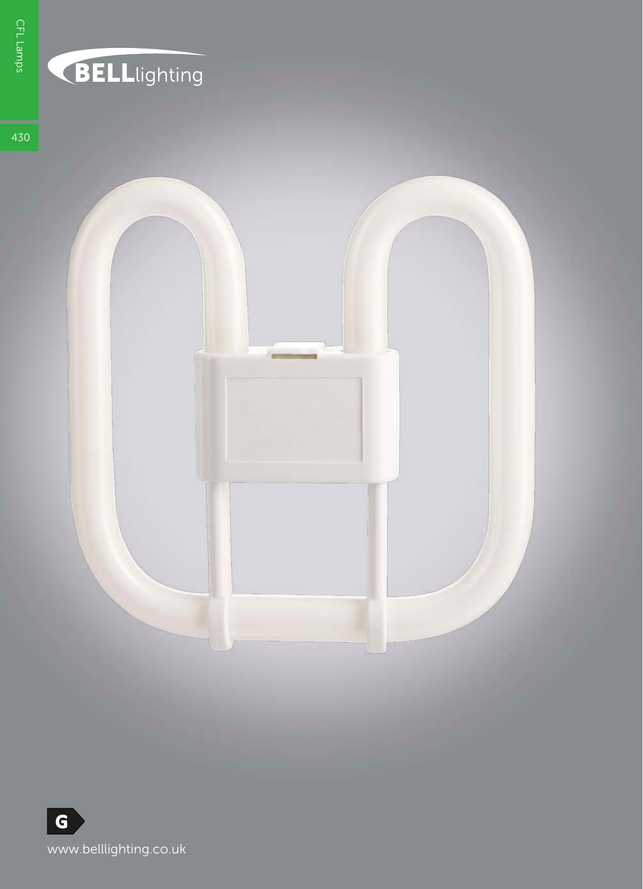## **BELL**lighting